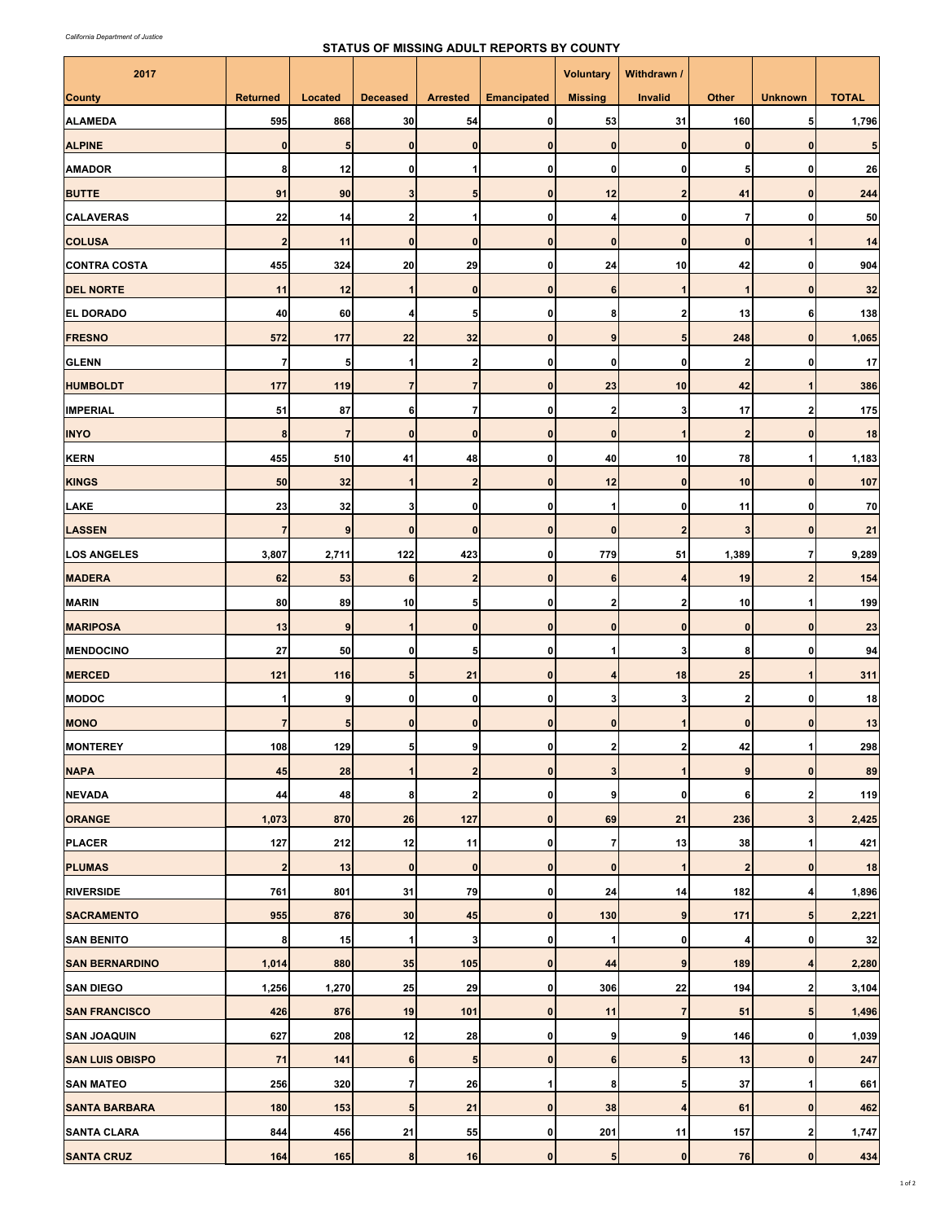## **STATUS OF MISSING ADULT REPORTS BY COUNTY**

| 2017                   |                 |                |                  |                         |                    | <b>Voluntary</b>        | Withdrawn /             |                         |                         |              |
|------------------------|-----------------|----------------|------------------|-------------------------|--------------------|-------------------------|-------------------------|-------------------------|-------------------------|--------------|
| <b>County</b>          | <b>Returned</b> | Located        | <b>Deceased</b>  | <b>Arrested</b>         | <b>Emancipated</b> | <b>Missing</b>          | <b>Invalid</b>          | <b>Other</b>            | <b>Unknown</b>          | <b>TOTAL</b> |
| <b>ALAMEDA</b>         | 595             | 868            | 30               | 54                      | 0                  | 53                      | 31                      | 160                     | 5 <sub>5</sub>          | 1,796        |
| <b>ALPINE</b>          | $\mathbf{0}$    | 5              | $\bf{0}$         | $\bf{0}$                | 0                  | 0                       | $\bf{0}$                | $\bf{0}$                | $\mathbf{0}$            | 5            |
| <b>AMADOR</b>          | 8               | 12             | $\mathbf{0}$     | 1                       | 0                  | 0                       | 0                       | 5                       | $\mathbf 0$             | 26           |
| <b>BUTTE</b>           | 91              | 90             | 3                | 5                       | 0                  | 12                      | $\overline{\mathbf{c}}$ | 41                      | $\bf{0}$                | 244          |
| <b>CALAVERAS</b>       | 22              | 14             | $2 \overline{2}$ | 1                       | 0                  | 4                       | 0                       | $\overline{7}$          | $\mathbf 0$             | 50           |
| <b>COLUSA</b>          | $\overline{2}$  | 11             | $\mathbf{0}$     | $\mathbf{0}$            | 0                  | $\mathbf 0$             | $\mathbf{0}$            | $\bf{0}$                | 1                       | 14           |
| <b>CONTRA COSTA</b>    | 455             | 324            | 20               | 29                      | 0                  | 24                      | 10                      | 42                      | $\mathbf{0}$            | 904          |
| <b>DEL NORTE</b>       | 11              | 12             | $\mathbf{1}$     | $\mathbf 0$             | $\mathbf{0}$       | 6                       | 1                       | $\overline{1}$          | $\mathbf{0}$            | 32           |
| <b>EL DORADO</b>       | 40              | 60             | 4                | 5                       | 0                  | 8                       | 2                       | 13                      | 6                       | 138          |
| <b>FRESNO</b>          | 572             | 177            | 22               | 32                      | $\pmb{0}$          | 9                       | 5                       | 248                     | $\bf{0}$                | 1,065        |
| <b>GLENN</b>           | $\overline{7}$  | 5              | 1                | $\overline{\mathbf{2}}$ | 0                  | $\mathbf{0}$            | 0                       | $\overline{\mathbf{c}}$ | 0                       | 17           |
| <b>HUMBOLDT</b>        | 177             | 119            | $\overline{7}$   | $\overline{7}$          | 0                  | 23                      | 10                      | 42                      | $\mathbf{1}$            | 386          |
| <b>IMPERIAL</b>        | 51              | 87             | 6                | $\overline{7}$          | 0                  | $\overline{\mathbf{2}}$ | 3                       | 17                      | $\overline{\mathbf{2}}$ | 175          |
| <b>INYO</b>            | 8               | $\overline{7}$ | $\pmb{0}$        | 0                       | 0                  | $\bf{0}$                |                         | $\overline{\mathbf{c}}$ | $\bf{0}$                | 18           |
| <b>KERN</b>            | 455             | 510            | 41               | 48                      | 0                  | 40                      | 10                      | 78                      | $\mathbf{1}$            | 1,183        |
| <b>KINGS</b>           | 50              | 32             | 1                | $\overline{2}$          | 0                  | 12                      | $\mathbf 0$             | 10                      | $\bf{0}$                | 107          |
| LAKE                   | 23              | 32             | 3                | 0                       | 0                  | 1                       | 0                       | 11                      | $\mathbf 0$             | 70           |
| <b>LASSEN</b>          | $\overline{7}$  | $\overline{9}$ | $\mathbf{0}$     | $\mathbf{0}$            | $\mathbf{0}$       | $\mathbf{0}$            | $\overline{2}$          | $\overline{3}$          | $\mathbf 0$             | 21           |
| <b>LOS ANGELES</b>     | 3,807           | 2,711          | 122              | 423                     | 0                  | 779                     | 51                      | 1,389                   | 7                       | 9,289        |
| <b>MADERA</b>          | 62              | 53             | 6                | $\overline{2}$          | $\pmb{0}$          | 6                       | 4                       | 19                      | $\overline{2}$          | 154          |
| <b>MARIN</b>           | 80              | 89             | 10               | 5                       | 0                  | 2                       | $\overline{\mathbf{2}}$ | 10                      | 1                       | 199          |
| <b>MARIPOSA</b>        | 13              | 9              | 1                | $\mathbf{0}$            | $\pmb{0}$          | $\bf{0}$                | $\bf{0}$                | $\bf{0}$                | $\mathbf{0}$            | 23           |
| <b>MENDOCINO</b>       | 27              | 50             | $\mathbf{0}$     | 5                       | 0                  | $\mathbf{1}$            | 3                       | 8                       | $\mathbf 0$             | 94           |
| <b>MERCED</b>          | 121             | 116            | 5                | 21                      | 0                  | 4                       | 18                      | 25                      | 1                       | 311          |
| <b>MODOC</b>           | $\mathbf{1}$    | 9              | $\mathbf{0}$     | $\mathbf 0$             | 0                  | 3                       | 3                       | $\overline{\mathbf{2}}$ | $\mathbf 0$             | 18           |
| <b>MONO</b>            | $\overline{7}$  | 5              | $\mathbf{0}$     | $\mathbf 0$             | $\mathbf{0}$       | $\mathbf 0$             |                         | $\bf{0}$                | 0                       | 13           |
| <b>MONTEREY</b>        | 108             | 129            | 5 <sub>l</sub>   | 9                       | $\Omega$           | 2                       |                         | 42                      | 1                       | 298          |
| <b>NAPA</b>            | 45              | 28             | $\mathbf{1}$     | $\overline{\mathbf{c}}$ | $\mathbf{0}$       | $\mathbf{3}$            | $\mathbf 1$             | 9                       | $\mathbf{0}$            | 89           |
| <b>NEVADA</b>          | 44              | 48             | 8                | 2                       | $\mathbf{0}$       | 9                       | 0                       | 6                       | $\mathbf{2}$            | 119          |
| <b>ORANGE</b>          | 1,073           | 870            | 26               | 127                     | $\pmb{0}$          | 69                      | 21                      | 236                     | 3                       | 2,425        |
| <b>PLACER</b>          | 127             | 212            | 12               | 11                      | 0                  | $\overline{\mathbf{r}}$ | 13                      | 38                      | 1                       | 421          |
| <b>PLUMAS</b>          | $\mathbf{2}$    | 13             | $\pmb{0}$        | $\mathbf{0}$            | 0                  | $\mathbf{0}$            | 1                       | $\overline{\mathbf{c}}$ | $\mathbf{0}$            | 18           |
| <b>RIVERSIDE</b>       | 761             | 801            | 31               | 79                      | 0                  | 24                      | 14                      | 182                     | 4                       | 1,896        |
| <b>SACRAMENTO</b>      | 955             | 876            | 30               | 45                      | 0                  | 130                     | 9                       | 171                     | $5\phantom{.0}$         | 2,221        |
| <b>SAN BENITO</b>      | 8               | 15             | $\mathbf{1}$     | 3                       | 0                  | 1                       | $\mathbf 0$             | $\overline{\mathbf{r}}$ | $\mathbf{0}$            | 32           |
| <b>SAN BERNARDINO</b>  | 1,014           | 880            | 35               | 105                     | $\pmb{0}$          | 44                      | 9                       | 189                     | $\overline{\mathbf{4}}$ | 2,280        |
| <b>SAN DIEGO</b>       | 1,256           | 1,270          | 25               | 29                      | 0                  | 306                     | 22                      | 194                     | $\mathbf{2}$            | 3,104        |
| <b>SAN FRANCISCO</b>   | 426             | 876            | 19               | 101                     | $\pmb{0}$          | 11                      | $\overline{7}$          | 51                      | $5\phantom{.0}$         | 1,496        |
| <b>SAN JOAQUIN</b>     | 627             | 208            | 12               | 28                      | 0                  | 9                       | 9                       | 146                     | $\mathbf{0}$            | 1,039        |
| <b>SAN LUIS OBISPO</b> | 71              | 141            | 6                | 5                       | $\pmb{0}$          | 6                       | 5                       | 13                      | $\mathbf{0}$            | 247          |
| <b>SAN MATEO</b>       | 256             | 320            | $\overline{7}$   | 26                      | 1                  | 8                       | 5                       | 37                      | 1                       | 661          |
| <b>SANTA BARBARA</b>   | 180             | 153            | 5                | 21                      | $\pmb{0}$          | 38                      | 4                       | 61                      | $\mathbf{0}$            | 462          |
| <b>SANTA CLARA</b>     | 844             | 456            | 21               | 55                      | 0                  | 201                     | 11                      | 157                     | $\mathbf{2}$            | 1,747        |
| <b>SANTA CRUZ</b>      | 164             | 165            | $\bf{8}$         | 16                      | $\mathbf 0$        | 5 <sub>l</sub>          | $\pmb{0}$               | 76                      | $\mathbf{0}$            | 434          |